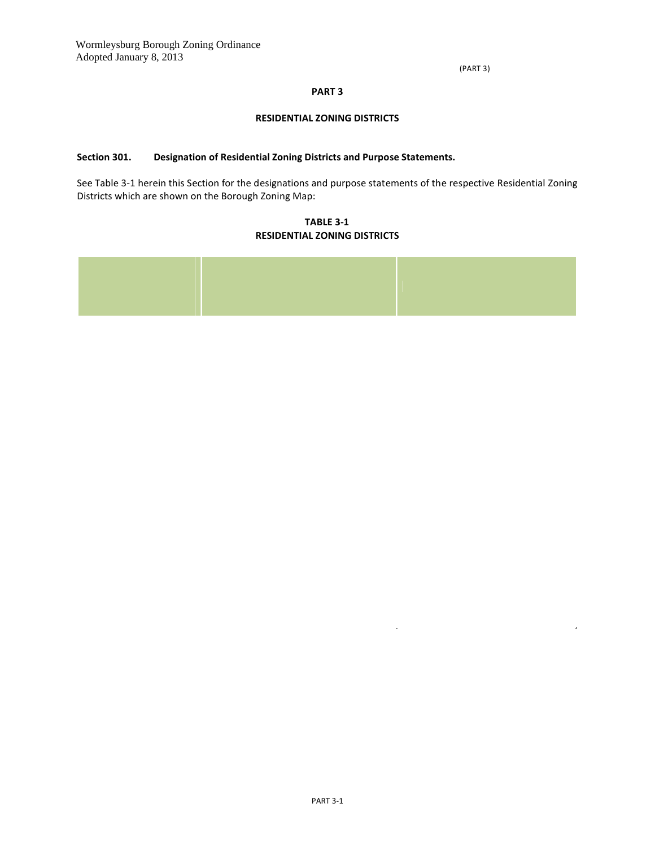(PART 3)

à.

### **PART 3**

# **RESIDENTIAL ZONING DISTRICTS**

## **Section 301. Designation of Residential Zoning Districts and Purpose Statements.**

See Table 3-1 herein this Section for the designations and purpose statements of the respective Residential Zoning Districts which are shown on the Borough Zoning Map:

### **TABLE 3-1 RESIDENTIAL ZONING DISTRICTS**

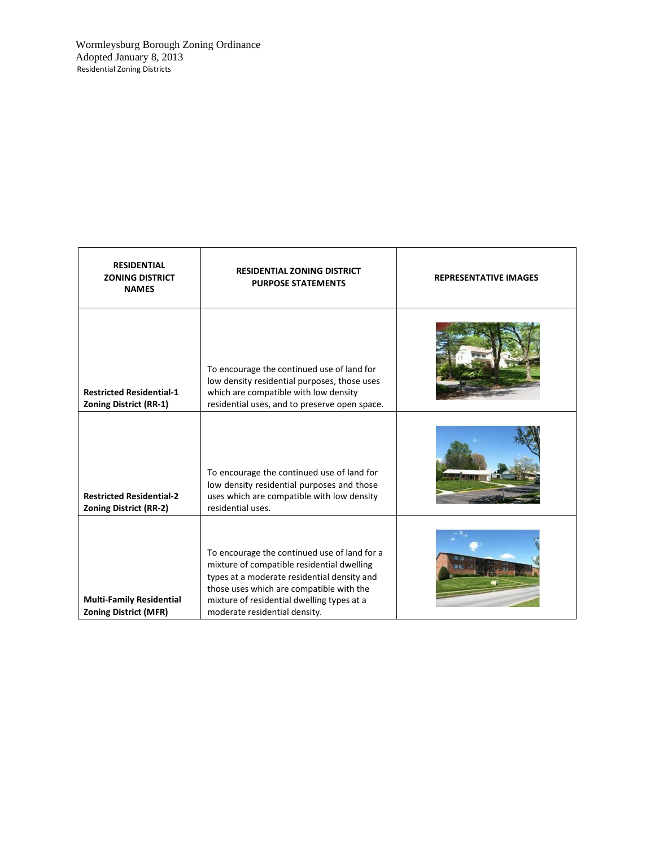| <b>RESIDENTIAL</b><br><b>ZONING DISTRICT</b><br><b>NAMES</b>     | <b>RESIDENTIAL ZONING DISTRICT</b><br><b>PURPOSE STATEMENTS</b>                                                                                                                                                                                                      | <b>REPRESENTATIVE IMAGES</b> |
|------------------------------------------------------------------|----------------------------------------------------------------------------------------------------------------------------------------------------------------------------------------------------------------------------------------------------------------------|------------------------------|
| <b>Restricted Residential-1</b><br><b>Zoning District (RR-1)</b> | To encourage the continued use of land for<br>low density residential purposes, those uses<br>which are compatible with low density<br>residential uses, and to preserve open space.                                                                                 |                              |
| <b>Restricted Residential-2</b><br><b>Zoning District (RR-2)</b> | To encourage the continued use of land for<br>low density residential purposes and those<br>uses which are compatible with low density<br>residential uses.                                                                                                          |                              |
| <b>Multi-Family Residential</b><br><b>Zoning District (MFR)</b>  | To encourage the continued use of land for a<br>mixture of compatible residential dwelling<br>types at a moderate residential density and<br>those uses which are compatible with the<br>mixture of residential dwelling types at a<br>moderate residential density. |                              |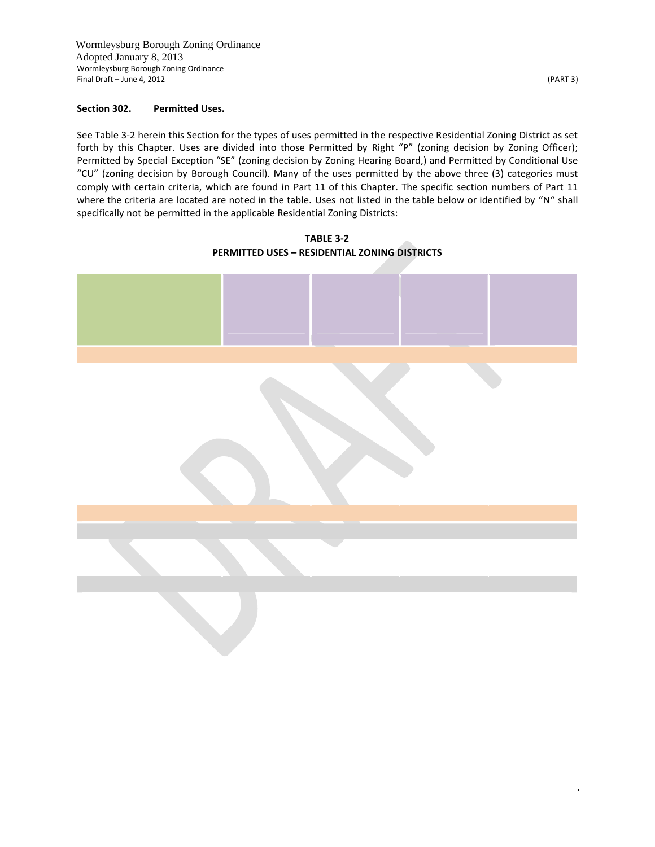#### **Section 302. Permitted Uses.**

See Table 3-2 herein this Section for the types of uses permitted in the respective Residential Zoning District as set forth by this Chapter. Uses are divided into those Permitted by Right "P" (zoning decision by Zoning Officer); Permitted by Special Exception "SE" (zoning decision by Zoning Hearing Board,) and Permitted by Conditional Use "CU" (zoning decision by Borough Council). Many of the uses permitted by the above three (3) categories must comply with certain criteria, which are found in Part 11 of this Chapter. The specific section numbers of Part 11 where the criteria are located are noted in the table. Uses not listed in the table below or identified by "N" shall specifically not be permitted in the applicable Residential Zoning Districts:

**TABLE 3-2 PERMITTED USES – RESIDENTIAL ZONING DISTRICTS**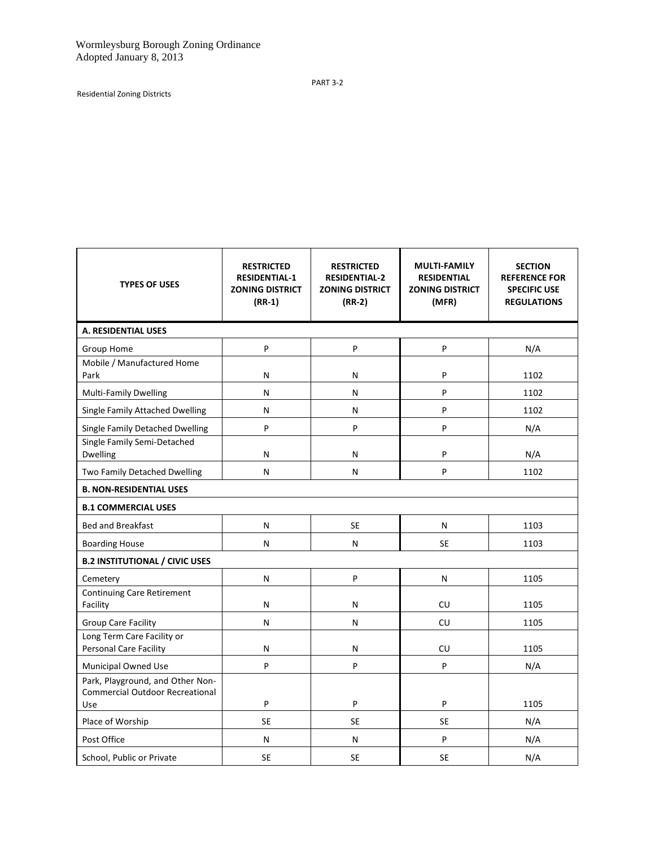PART 3-2

Residential Zoning Districts

| <b>TYPES OF USES</b>                                                              | <b>RESTRICTED</b><br><b>RESIDENTIAL-1</b><br><b>ZONING DISTRICT</b><br>$(RR-1)$ | <b>RESTRICTED</b><br><b>RESIDENTIAL-2</b><br><b>ZONING DISTRICT</b><br>$(RR-2)$ | MULTI-FAMILY<br><b>RESIDENTIAL</b><br><b>ZONING DISTRICT</b><br>(MFR) | <b>SECTION</b><br><b>REFERENCE FOR</b><br><b>SPECIFIC USE</b><br><b>REGULATIONS</b> |
|-----------------------------------------------------------------------------------|---------------------------------------------------------------------------------|---------------------------------------------------------------------------------|-----------------------------------------------------------------------|-------------------------------------------------------------------------------------|
| <b>A. RESIDENTIAL USES</b>                                                        |                                                                                 |                                                                                 |                                                                       |                                                                                     |
| Group Home                                                                        | P                                                                               | P                                                                               | P                                                                     | N/A                                                                                 |
| Mobile / Manufactured Home<br>Park                                                | N                                                                               | N                                                                               | P                                                                     | 1102                                                                                |
| Multi-Family Dwelling                                                             | N                                                                               | N                                                                               | P                                                                     | 1102                                                                                |
| Single Family Attached Dwelling                                                   | N                                                                               | N                                                                               | P                                                                     | 1102                                                                                |
| Single Family Detached Dwelling                                                   | P                                                                               | ${\sf P}$                                                                       | P                                                                     | N/A                                                                                 |
| Single Family Semi-Detached<br><b>Dwelling</b>                                    | N                                                                               | N                                                                               | P                                                                     | N/A                                                                                 |
| Two Family Detached Dwelling                                                      | N                                                                               | N                                                                               | P                                                                     | 1102                                                                                |
| <b>B. NON-RESIDENTIAL USES</b>                                                    |                                                                                 |                                                                                 |                                                                       |                                                                                     |
| <b>B.1 COMMERCIAL USES</b>                                                        |                                                                                 |                                                                                 |                                                                       |                                                                                     |
| <b>Bed and Breakfast</b>                                                          | N                                                                               | <b>SE</b>                                                                       | N                                                                     | 1103                                                                                |
| <b>Boarding House</b>                                                             | N                                                                               | N                                                                               | <b>SE</b>                                                             | 1103                                                                                |
| <b>B.2 INSTITUTIONAL / CIVIC USES</b>                                             |                                                                                 |                                                                                 |                                                                       |                                                                                     |
| Cemetery                                                                          | N                                                                               | $\sf P$                                                                         | N                                                                     | 1105                                                                                |
| <b>Continuing Care Retirement</b><br>Facility                                     | N                                                                               | N                                                                               | CU                                                                    | 1105                                                                                |
| <b>Group Care Facility</b>                                                        | N                                                                               | N                                                                               | CU                                                                    | 1105                                                                                |
| Long Term Care Facility or<br>Personal Care Facility                              | N                                                                               | N                                                                               | <b>CU</b>                                                             | 1105                                                                                |
| Municipal Owned Use                                                               | P                                                                               | P                                                                               | P                                                                     | N/A                                                                                 |
| Park, Playground, and Other Non-<br><b>Commercial Outdoor Recreational</b><br>Use | P                                                                               | P                                                                               | P                                                                     | 1105                                                                                |
| Place of Worship                                                                  | <b>SE</b>                                                                       | SE                                                                              | <b>SE</b>                                                             | N/A                                                                                 |
| Post Office                                                                       | N                                                                               | N                                                                               | P                                                                     | N/A                                                                                 |
| School, Public or Private                                                         | <b>SE</b>                                                                       | <b>SE</b>                                                                       | <b>SE</b>                                                             | N/A                                                                                 |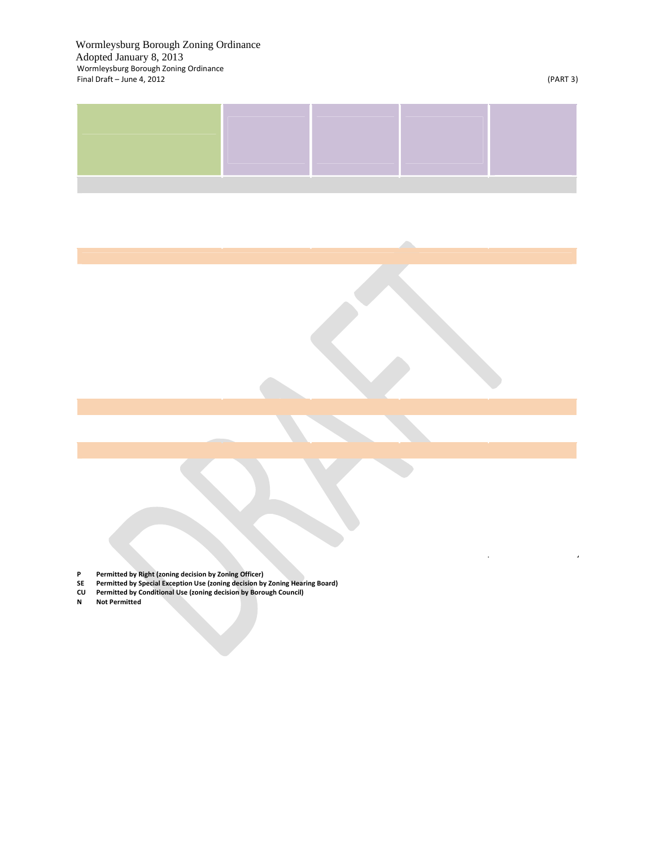- **P Permitted by Right (zoning decision by Zoning Officer)**
- **SE Permitted by Special Exception Use (zoning decision by Zoning Hearing Board)**
- **CU Permitted by Conditional Use (zoning decision by Borough Council)**
- **N Not Permitted**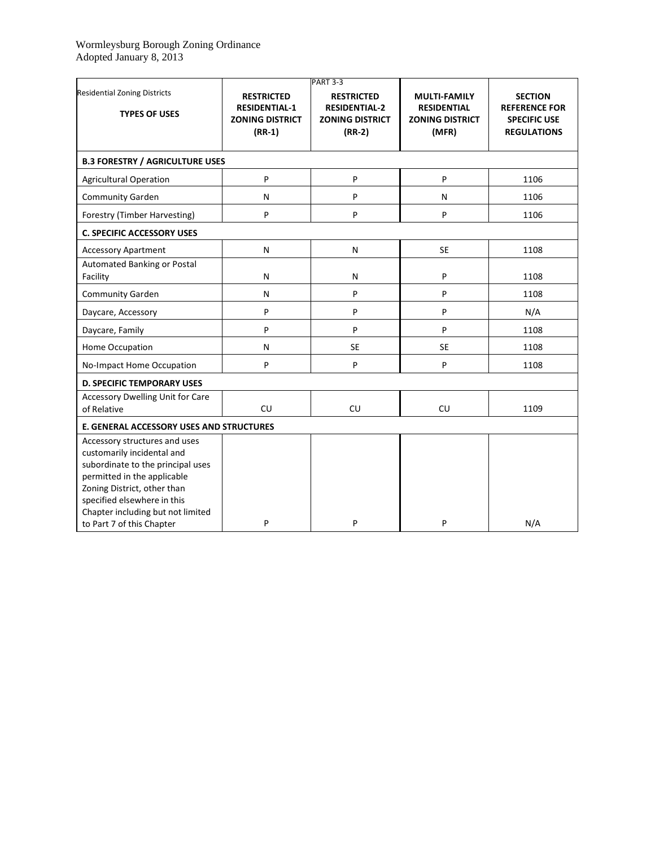|                                                                                                                                                                                                                                    |                                                                     | <b>PART 3-3</b>                                                     |                                                                     |                                                               |  |  |  |  |
|------------------------------------------------------------------------------------------------------------------------------------------------------------------------------------------------------------------------------------|---------------------------------------------------------------------|---------------------------------------------------------------------|---------------------------------------------------------------------|---------------------------------------------------------------|--|--|--|--|
| <b>Residential Zoning Districts</b><br><b>TYPES OF USES</b>                                                                                                                                                                        | <b>RESTRICTED</b><br><b>RESIDENTIAL-1</b><br><b>ZONING DISTRICT</b> | <b>RESTRICTED</b><br><b>RESIDENTIAL-2</b><br><b>ZONING DISTRICT</b> | <b>MULTI-FAMILY</b><br><b>RESIDENTIAL</b><br><b>ZONING DISTRICT</b> | <b>SECTION</b><br><b>REFERENCE FOR</b><br><b>SPECIFIC USE</b> |  |  |  |  |
|                                                                                                                                                                                                                                    | $(RR-1)$                                                            | $(RR-2)$                                                            | (MFR)                                                               | <b>REGULATIONS</b>                                            |  |  |  |  |
| <b>B.3 FORESTRY / AGRICULTURE USES</b>                                                                                                                                                                                             |                                                                     |                                                                     |                                                                     |                                                               |  |  |  |  |
| <b>Agricultural Operation</b>                                                                                                                                                                                                      | P                                                                   | P                                                                   | P                                                                   | 1106                                                          |  |  |  |  |
| <b>Community Garden</b>                                                                                                                                                                                                            | $\mathsf{N}$                                                        | P                                                                   | N                                                                   | 1106                                                          |  |  |  |  |
| Forestry (Timber Harvesting)                                                                                                                                                                                                       | P                                                                   | P                                                                   | P                                                                   | 1106                                                          |  |  |  |  |
| <b>C. SPECIFIC ACCESSORY USES</b>                                                                                                                                                                                                  |                                                                     |                                                                     |                                                                     |                                                               |  |  |  |  |
| <b>Accessory Apartment</b>                                                                                                                                                                                                         | ${\sf N}$                                                           | N                                                                   | <b>SE</b>                                                           | 1108                                                          |  |  |  |  |
| Automated Banking or Postal<br>Facility                                                                                                                                                                                            | $\mathsf{N}$                                                        | N                                                                   | P                                                                   | 1108                                                          |  |  |  |  |
| <b>Community Garden</b>                                                                                                                                                                                                            | N                                                                   | P                                                                   | P                                                                   | 1108                                                          |  |  |  |  |
| Daycare, Accessory                                                                                                                                                                                                                 | P                                                                   | P                                                                   | P                                                                   | N/A                                                           |  |  |  |  |
| Daycare, Family                                                                                                                                                                                                                    | P                                                                   | P                                                                   | P                                                                   | 1108                                                          |  |  |  |  |
| Home Occupation                                                                                                                                                                                                                    | N                                                                   | <b>SE</b>                                                           | <b>SE</b>                                                           | 1108                                                          |  |  |  |  |
| No-Impact Home Occupation                                                                                                                                                                                                          | P                                                                   | P                                                                   | P                                                                   | 1108                                                          |  |  |  |  |
| <b>D. SPECIFIC TEMPORARY USES</b>                                                                                                                                                                                                  |                                                                     |                                                                     |                                                                     |                                                               |  |  |  |  |
| Accessory Dwelling Unit for Care<br>of Relative                                                                                                                                                                                    | CU                                                                  | CU                                                                  | CU                                                                  | 1109                                                          |  |  |  |  |
| E. GENERAL ACCESSORY USES AND STRUCTURES                                                                                                                                                                                           |                                                                     |                                                                     |                                                                     |                                                               |  |  |  |  |
| Accessory structures and uses<br>customarily incidental and<br>subordinate to the principal uses<br>permitted in the applicable<br>Zoning District, other than<br>specified elsewhere in this<br>Chapter including but not limited |                                                                     |                                                                     |                                                                     |                                                               |  |  |  |  |
| to Part 7 of this Chapter                                                                                                                                                                                                          | P                                                                   | P                                                                   | P                                                                   | N/A                                                           |  |  |  |  |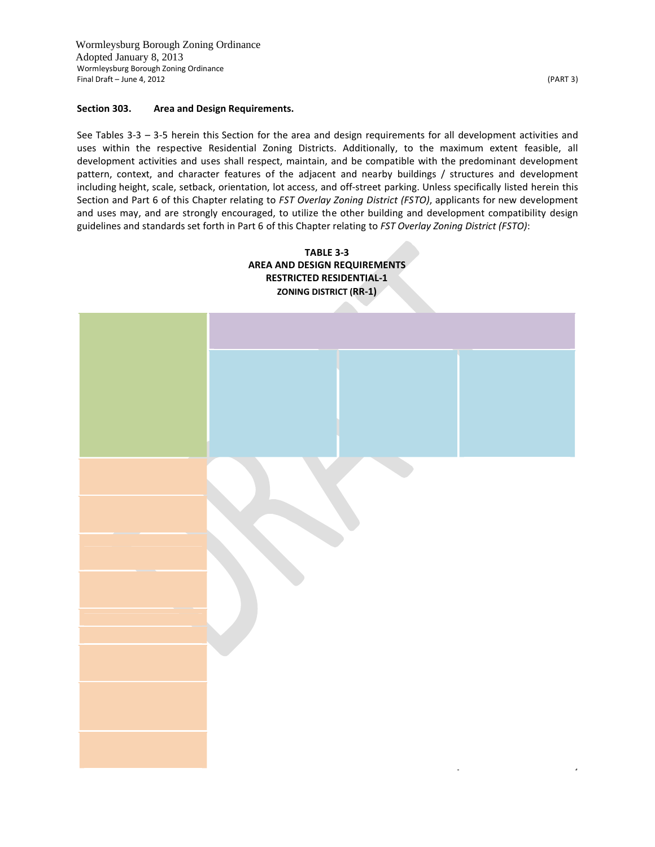#### **Section 303. Area and Design Requirements.**

See Tables 3-3 – 3-5 herein this Section for the area and design requirements for all development activities and uses within the respective Residential Zoning Districts. Additionally, to the maximum extent feasible, all development activities and uses shall respect, maintain, and be compatible with the predominant development pattern, context, and character features of the adjacent and nearby buildings / structures and development including height, scale, setback, orientation, lot access, and off-street parking. Unless specifically listed herein this Section and Part 6 of this Chapter relating to *FST Overlay Zoning District (FSTO)*, applicants for new development and uses may, and are strongly encouraged, to utilize the other building and development compatibility design guidelines and standards set forth in Part 6 of this Chapter relating to *FST Overlay Zoning District (FSTO)*:

## **TABLE 3-3 AREA AND DESIGN REQUIREMENTS RESTRICTED RESIDENTIAL-1 ZONING DISTRICT (RR-1)**

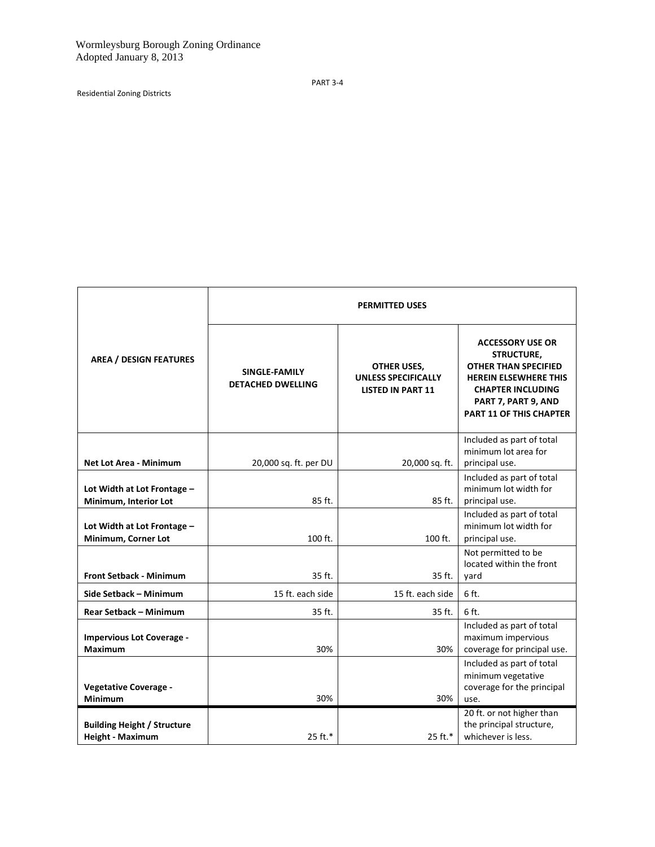Residential Zoning Districts

|                                                               | <b>PERMITTED USES</b>                     |                                                                |                                                                                                                                                                                                  |  |  |
|---------------------------------------------------------------|-------------------------------------------|----------------------------------------------------------------|--------------------------------------------------------------------------------------------------------------------------------------------------------------------------------------------------|--|--|
| <b>AREA / DESIGN FEATURES</b>                                 | SINGLE-FAMILY<br><b>DETACHED DWELLING</b> | OTHER USES,<br>UNLESS SPECIFICALLY<br><b>LISTED IN PART 11</b> | <b>ACCESSORY USE OR</b><br><b>STRUCTURE,</b><br><b>OTHER THAN SPECIFIED</b><br><b>HEREIN ELSEWHERE THIS</b><br><b>CHAPTER INCLUDING</b><br>PART 7, PART 9, AND<br><b>PART 11 OF THIS CHAPTER</b> |  |  |
| <b>Net Lot Area - Minimum</b>                                 | 20,000 sq. ft. per DU                     | 20,000 sq. ft.                                                 | Included as part of total<br>minimum lot area for<br>principal use.                                                                                                                              |  |  |
| Lot Width at Lot Frontage -<br>Minimum, Interior Lot          | 85 ft.                                    | 85 ft.                                                         | Included as part of total<br>minimum lot width for<br>principal use.                                                                                                                             |  |  |
| Lot Width at Lot Frontage -<br>Minimum, Corner Lot            | 100 ft.                                   | 100 ft.                                                        | Included as part of total<br>minimum lot width for<br>principal use.                                                                                                                             |  |  |
| <b>Front Setback - Minimum</b>                                | 35 ft.                                    | 35 ft.                                                         | Not permitted to be<br>located within the front<br>yard                                                                                                                                          |  |  |
| Side Setback - Minimum                                        | 15 ft. each side                          | 15 ft. each side                                               | 6 ft.                                                                                                                                                                                            |  |  |
| <b>Rear Setback – Minimum</b>                                 | 35 ft.                                    | 35 ft.                                                         | 6ft.                                                                                                                                                                                             |  |  |
| <b>Impervious Lot Coverage -</b><br><b>Maximum</b>            | 30%                                       | 30%                                                            | Included as part of total<br>maximum impervious<br>coverage for principal use.                                                                                                                   |  |  |
| <b>Vegetative Coverage -</b><br><b>Minimum</b>                | 30%                                       | 30%                                                            | Included as part of total<br>minimum vegetative<br>coverage for the principal<br>use.                                                                                                            |  |  |
| <b>Building Height / Structure</b><br><b>Height - Maximum</b> | 25 ft.*                                   | 25 ft.*                                                        | 20 ft. or not higher than<br>the principal structure,<br>whichever is less.                                                                                                                      |  |  |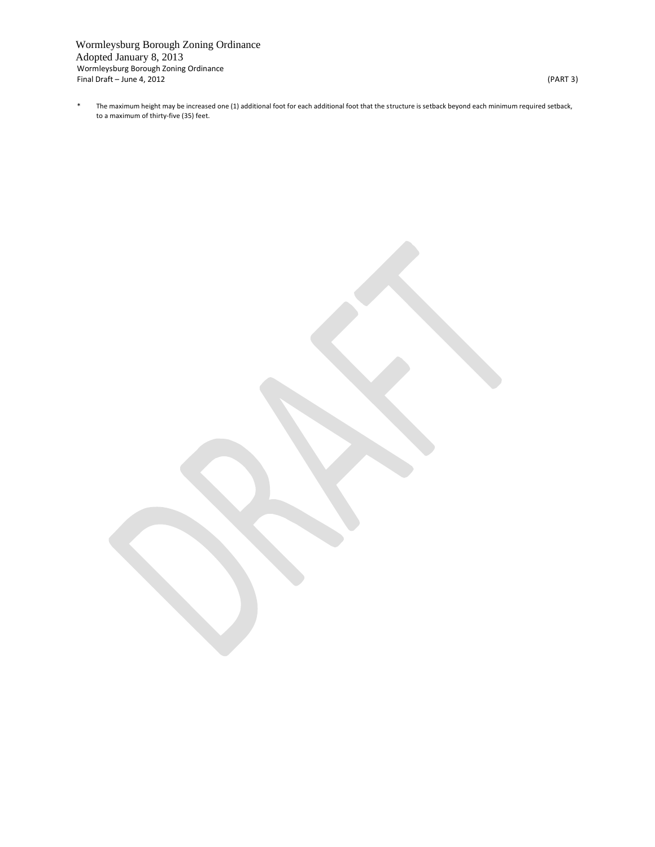\* The maximum height may be increased one (1) additional foot for each additional foot that the structure is setback beyond each minimum required setback, to a maximum of thirty-five (35) feet.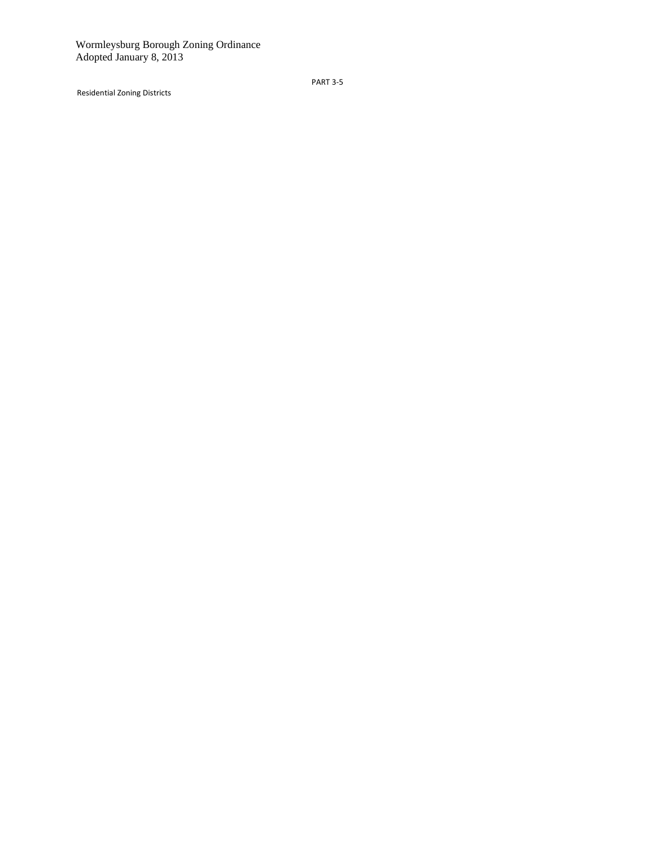Residential Zoning Districts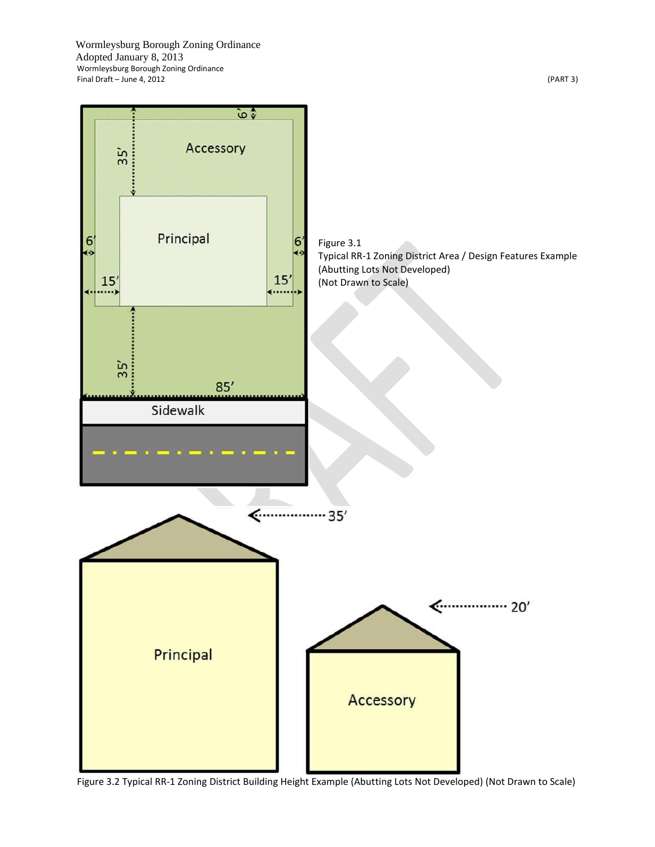

Figure 3.2 Typical RR-1 Zoning District Building Height Example (Abutting Lots Not Developed) (Not Drawn to Scale)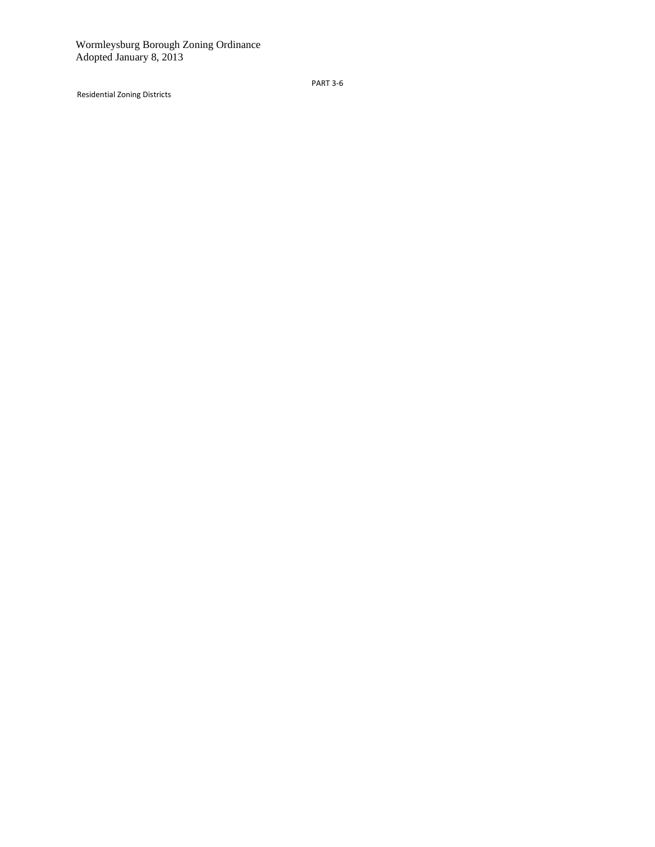Residential Zoning Districts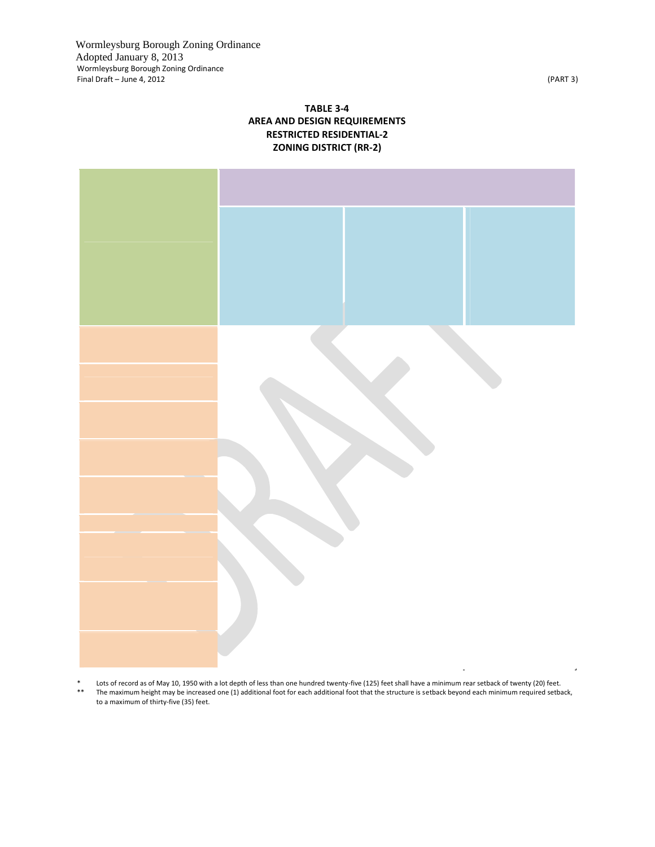## **TABLE 3-4 AREA AND DESIGN REQUIREMENTS RESTRICTED RESIDENTIAL-2 ZONING DISTRICT (RR-2)**



\* Lots of record as of May 10, 1950 with a lot depth of less than one hundred twenty-five (125) feet shall have a minimum rear setback of twenty (20) feet. \*\* The maximum height may be increased one (1) additional foot for each additional foot that the structure is setback beyond each minimum required setback, to a maximum of thirty-five (35) feet.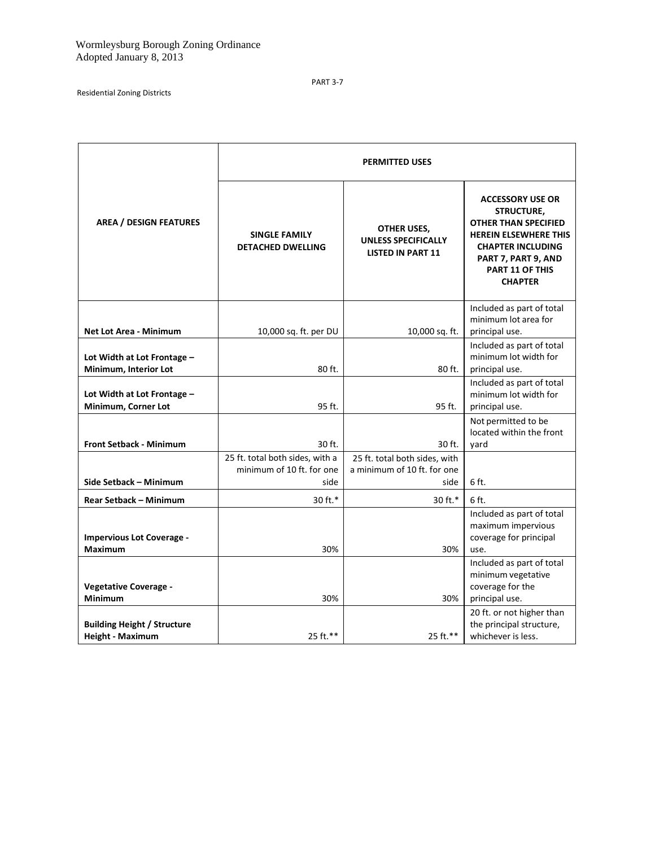PART 3-7

### Residential Zoning Districts

|                                                               | <b>PERMITTED USES</b>                                                |                                                                      |                                                                                                                                                                                              |  |  |
|---------------------------------------------------------------|----------------------------------------------------------------------|----------------------------------------------------------------------|----------------------------------------------------------------------------------------------------------------------------------------------------------------------------------------------|--|--|
| <b>AREA / DESIGN FEATURES</b>                                 | <b>SINGLE FAMILY</b><br><b>DETACHED DWELLING</b>                     | OTHER USES,<br>UNLESS SPECIFICALLY<br><b>LISTED IN PART 11</b>       | <b>ACCESSORY USE OR</b><br>STRUCTURE,<br><b>OTHER THAN SPECIFIED</b><br><b>HEREIN ELSEWHERE THIS</b><br><b>CHAPTER INCLUDING</b><br>PART 7, PART 9, AND<br>PART 11 OF THIS<br><b>CHAPTER</b> |  |  |
| Net Lot Area - Minimum                                        | 10,000 sq. ft. per DU                                                | 10,000 sq. ft.                                                       | Included as part of total<br>minimum lot area for<br>principal use.                                                                                                                          |  |  |
| Lot Width at Lot Frontage -<br>Minimum, Interior Lot          | 80 ft.                                                               | 80 ft.                                                               | Included as part of total<br>minimum lot width for<br>principal use.                                                                                                                         |  |  |
| Lot Width at Lot Frontage -<br>Minimum, Corner Lot            | 95 ft.                                                               | 95 ft.                                                               | Included as part of total<br>minimum lot width for<br>principal use.                                                                                                                         |  |  |
| <b>Front Setback - Minimum</b>                                | 30 ft.                                                               | 30 ft.                                                               | Not permitted to be<br>located within the front<br>yard                                                                                                                                      |  |  |
| Side Setback - Minimum                                        | 25 ft. total both sides, with a<br>minimum of 10 ft. for one<br>side | 25 ft. total both sides, with<br>a minimum of 10 ft. for one<br>side | 6 ft.                                                                                                                                                                                        |  |  |
| <b>Rear Setback – Minimum</b>                                 | 30 ft.*                                                              | 30 ft.*                                                              | 6ft.                                                                                                                                                                                         |  |  |
| <b>Impervious Lot Coverage -</b><br><b>Maximum</b>            | 30%                                                                  | 30%                                                                  | Included as part of total<br>maximum impervious<br>coverage for principal<br>use.                                                                                                            |  |  |
| Vegetative Coverage -<br><b>Minimum</b>                       | 30%                                                                  | 30%                                                                  | Included as part of total<br>minimum vegetative<br>coverage for the<br>principal use.                                                                                                        |  |  |
| <b>Building Height / Structure</b><br><b>Height - Maximum</b> | 25 ft.**                                                             | 25 ft.**                                                             | 20 ft. or not higher than<br>the principal structure,<br>whichever is less.                                                                                                                  |  |  |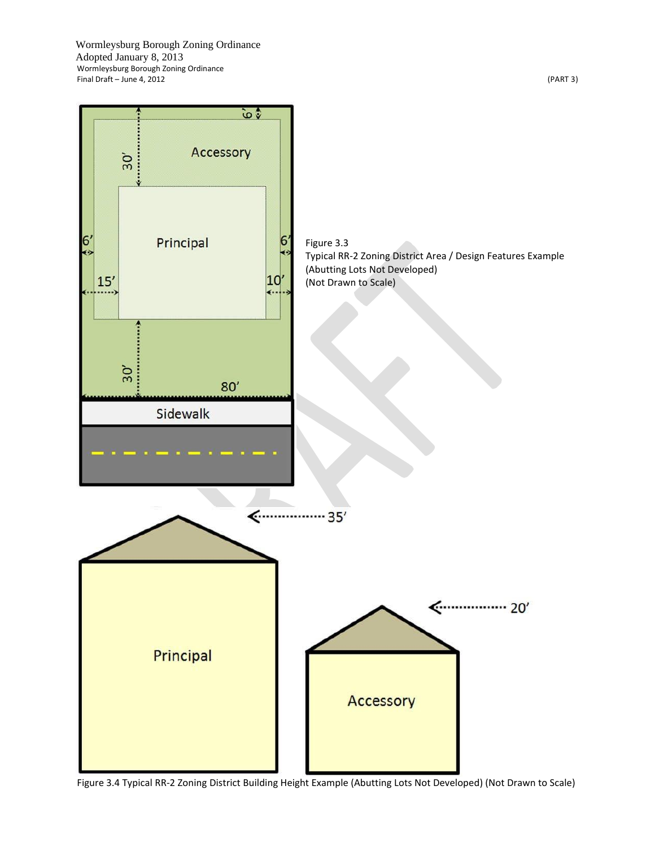

Figure 3.4 Typical RR-2 Zoning District Building Height Example (Abutting Lots Not Developed) (Not Drawn to Scale)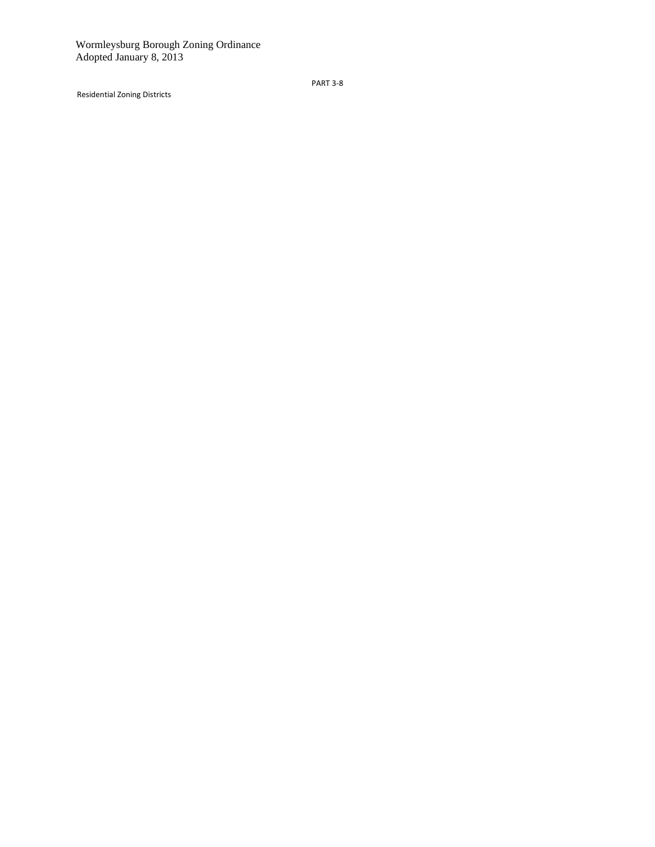Residential Zoning Districts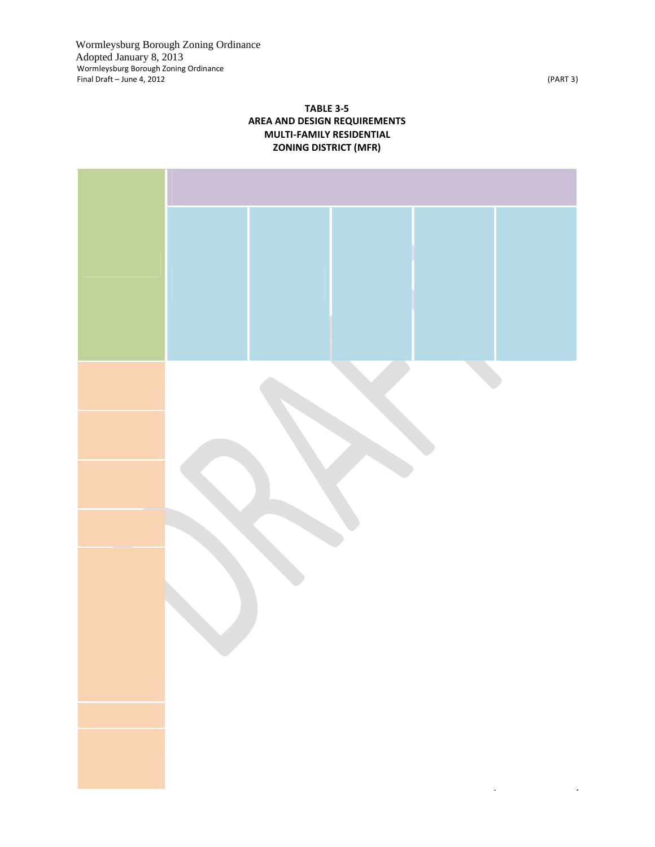# **TABLE 3-5 AREA AND DESIGN REQUIREMENTS MULTI-FAMILY RESIDENTIAL ZONING DISTRICT (MFR)**

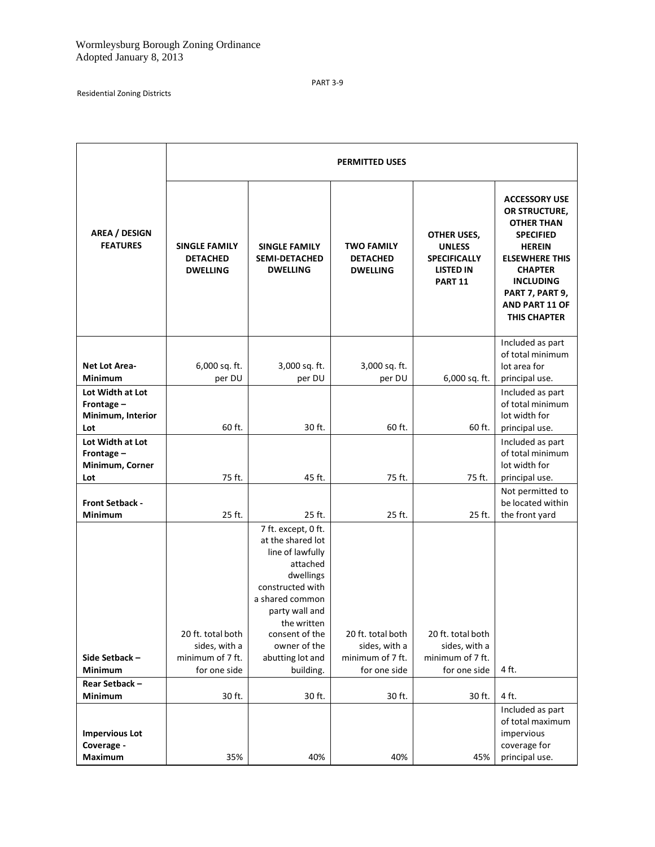PART 3-9

#### Residential Zoning Districts

|                                                            | <b>PERMITTED USES</b>                                                  |                                                                                                                                                                                                                                  |                                                                        |                                                                                                  |                                                                                                                                                                                                                            |
|------------------------------------------------------------|------------------------------------------------------------------------|----------------------------------------------------------------------------------------------------------------------------------------------------------------------------------------------------------------------------------|------------------------------------------------------------------------|--------------------------------------------------------------------------------------------------|----------------------------------------------------------------------------------------------------------------------------------------------------------------------------------------------------------------------------|
| AREA / DESIGN<br><b>FEATURES</b>                           | <b>SINGLE FAMILY</b><br><b>DETACHED</b><br><b>DWELLING</b>             | <b>SINGLE FAMILY</b><br><b>SEMI-DETACHED</b><br><b>DWELLING</b>                                                                                                                                                                  | <b>TWO FAMILY</b><br><b>DETACHED</b><br><b>DWELLING</b>                | <b>OTHER USES,</b><br><b>UNLESS</b><br><b>SPECIFICALLY</b><br><b>LISTED IN</b><br><b>PART 11</b> | <b>ACCESSORY USE</b><br>OR STRUCTURE,<br><b>OTHER THAN</b><br><b>SPECIFIED</b><br><b>HEREIN</b><br><b>ELSEWHERE THIS</b><br><b>CHAPTER</b><br><b>INCLUDING</b><br>PART 7, PART 9,<br><b>AND PART 11 OF</b><br>THIS CHAPTER |
| <b>Net Lot Area-</b><br><b>Minimum</b>                     | 6,000 sq. ft.<br>per DU                                                | 3,000 sq. ft.<br>per DU                                                                                                                                                                                                          | 3,000 sq. ft.<br>per DU                                                | 6,000 sq. ft.                                                                                    | Included as part<br>of total minimum<br>lot area for<br>principal use.                                                                                                                                                     |
| Lot Width at Lot<br>Frontage -<br>Minimum, Interior<br>Lot | 60 ft.                                                                 | 30 ft.                                                                                                                                                                                                                           | 60 ft.                                                                 | 60 ft.                                                                                           | Included as part<br>of total minimum<br>lot width for<br>principal use.                                                                                                                                                    |
| Lot Width at Lot<br>Frontage -<br>Minimum, Corner<br>Lot   | 75 ft.                                                                 | 45 ft.                                                                                                                                                                                                                           | 75 ft.                                                                 | 75 ft.                                                                                           | Included as part<br>of total minimum<br>lot width for<br>principal use.                                                                                                                                                    |
| <b>Front Setback -</b><br><b>Minimum</b>                   | 25 ft.                                                                 | 25 ft.                                                                                                                                                                                                                           | 25 ft.                                                                 | 25 ft.                                                                                           | Not permitted to<br>be located within<br>the front yard                                                                                                                                                                    |
| Side Setback-<br>Minimum                                   | 20 ft. total both<br>sides, with a<br>minimum of 7 ft.<br>for one side | 7 ft. except, 0 ft.<br>at the shared lot<br>line of lawfully<br>attached<br>dwellings<br>constructed with<br>a shared common<br>party wall and<br>the written<br>consent of the<br>owner of the<br>abutting lot and<br>building. | 20 ft. total both<br>sides, with a<br>minimum of 7 ft.<br>for one side | 20 ft. total both<br>sides, with a<br>minimum of 7 ft.<br>for one side                           | 4 ft.                                                                                                                                                                                                                      |
| Rear Setback -<br>Minimum                                  | 30 ft.                                                                 | 30 ft.                                                                                                                                                                                                                           | 30 ft.                                                                 | 30 ft.                                                                                           | 4 ft.                                                                                                                                                                                                                      |
| <b>Impervious Lot</b><br>Coverage -<br>Maximum             | 35%                                                                    | 40%                                                                                                                                                                                                                              | 40%                                                                    | 45%                                                                                              | Included as part<br>of total maximum<br>impervious<br>coverage for<br>principal use.                                                                                                                                       |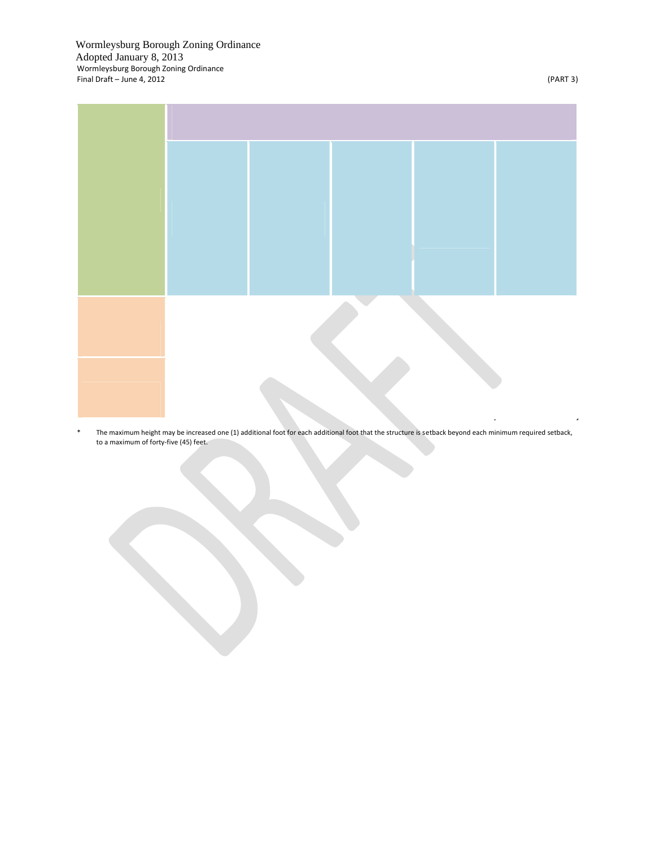|  | ∽ |  |  |  |
|--|---|--|--|--|

The maximum height may be increased one (1) additional foot for each additional foot that the structure is setback beyond each minimum required setback, to a maximum of forty-five (45) feet.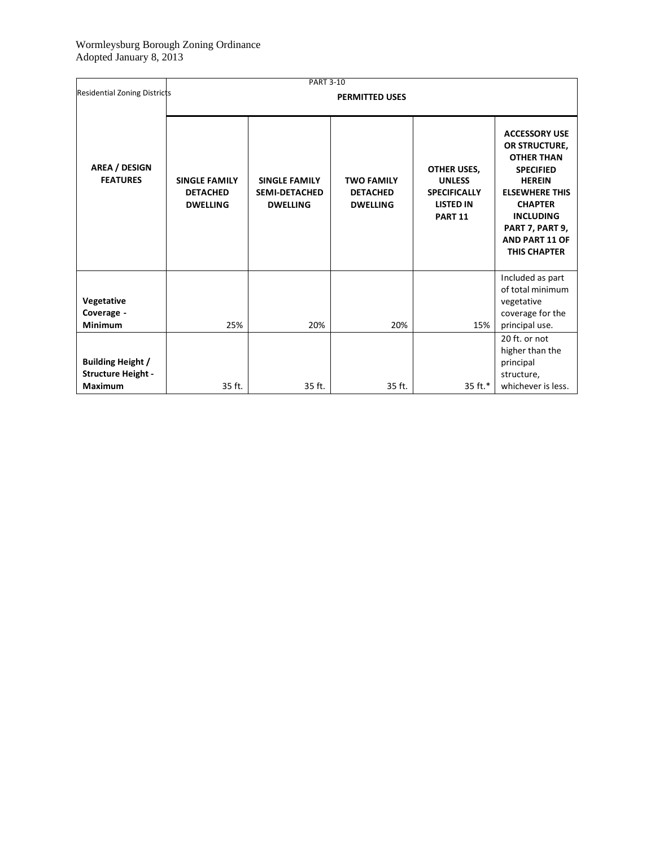| <b>Residential Zoning Districts</b>                                     |                                                            |                                                                 |                                                         |                                                                                           |                                                                                                                                                                                                                                   |
|-------------------------------------------------------------------------|------------------------------------------------------------|-----------------------------------------------------------------|---------------------------------------------------------|-------------------------------------------------------------------------------------------|-----------------------------------------------------------------------------------------------------------------------------------------------------------------------------------------------------------------------------------|
| AREA / DESIGN<br><b>FEATURES</b>                                        | <b>SINGLE FAMILY</b><br><b>DETACHED</b><br><b>DWELLING</b> | <b>SINGLE FAMILY</b><br><b>SEMI-DETACHED</b><br><b>DWELLING</b> | <b>TWO FAMILY</b><br><b>DETACHED</b><br><b>DWELLING</b> | OTHER USES,<br><b>UNLESS</b><br><b>SPECIFICALLY</b><br><b>LISTED IN</b><br><b>PART 11</b> | <b>ACCESSORY USE</b><br>OR STRUCTURE,<br><b>OTHER THAN</b><br><b>SPECIFIED</b><br><b>HEREIN</b><br><b>ELSEWHERE THIS</b><br><b>CHAPTER</b><br><b>INCLUDING</b><br>PART 7, PART 9,<br><b>AND PART 11 OF</b><br><b>THIS CHAPTER</b> |
| Vegetative<br>Coverage -<br><b>Minimum</b>                              | 25%                                                        | 20%                                                             | 20%                                                     | 15%                                                                                       | Included as part<br>of total minimum<br>vegetative<br>coverage for the<br>principal use.                                                                                                                                          |
| <b>Building Height /</b><br><b>Structure Height -</b><br><b>Maximum</b> | 35 ft.                                                     | 35 ft.                                                          | 35 ft.                                                  | 35 ft.*                                                                                   | 20 ft. or not<br>higher than the<br>principal<br>structure,<br>whichever is less.                                                                                                                                                 |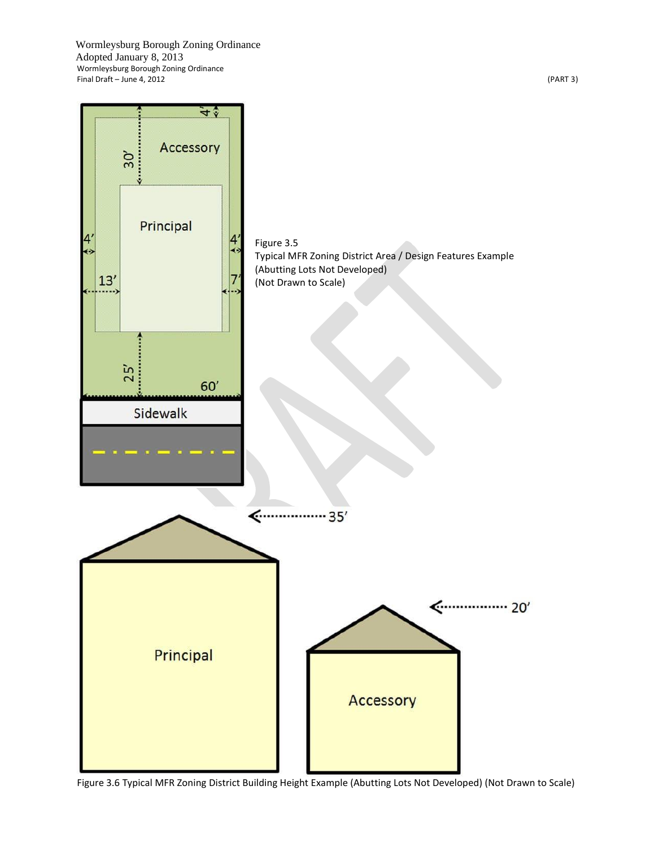

Figure 3.6 Typical MFR Zoning District Building Height Example (Abutting Lots Not Developed) (Not Drawn to Scale)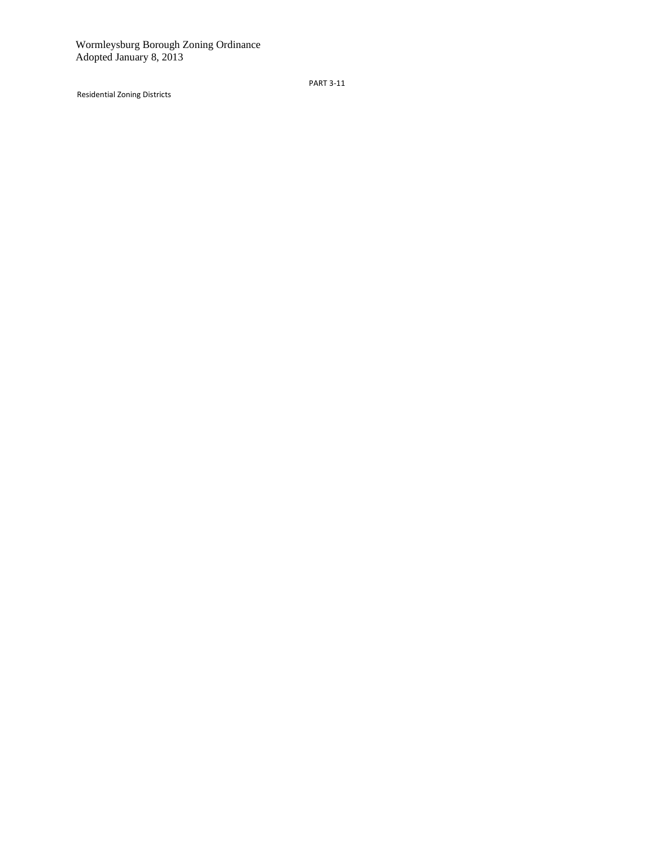Residential Zoning Districts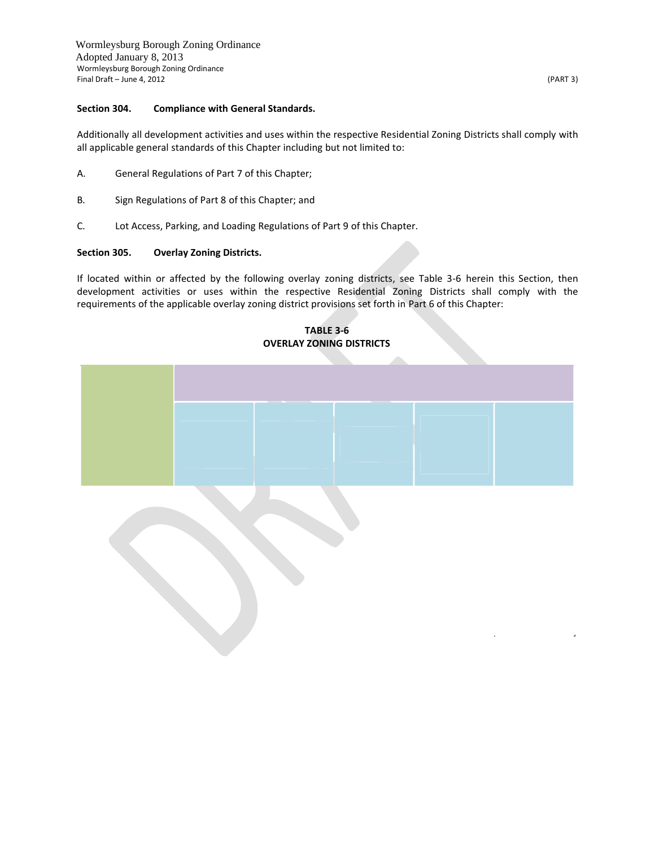#### **Section 304. Compliance with General Standards.**

Additionally all development activities and uses within the respective Residential Zoning Districts shall comply with all applicable general standards of this Chapter including but not limited to:

- A. General Regulations of Part 7 of this Chapter;
- B. Sign Regulations of Part 8 of this Chapter; and
- C. Lot Access, Parking, and Loading Regulations of Part 9 of this Chapter.

#### **Section 305. Overlay Zoning Districts.**

If located within or affected by the following overlay zoning districts, see Table 3-6 herein this Section, then development activities or uses within the respective Residential Zoning Districts shall comply with the requirements of the applicable overlay zoning district provisions set forth in Part 6 of this Chapter:



## **TABLE 3-6 OVERLAY ZONING DISTRICTS**